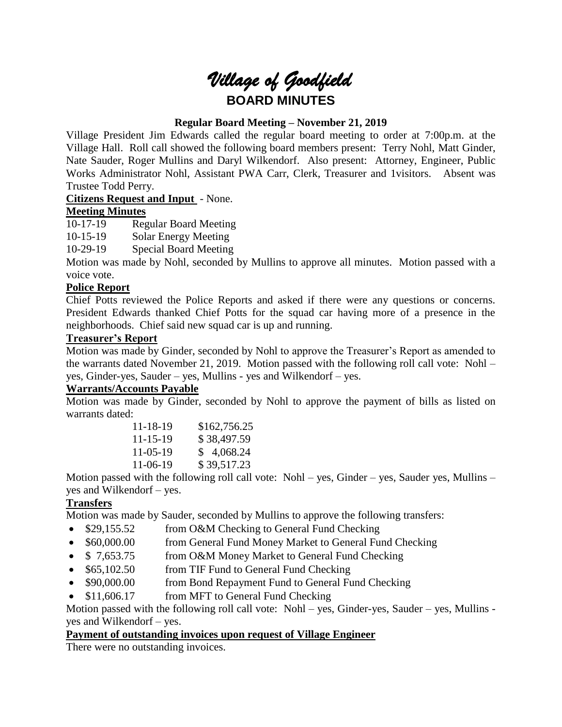# *Village of Goodfield* **BOARD MINUTES**

# **Regular Board Meeting – November 21, 2019**

Village President Jim Edwards called the regular board meeting to order at 7:00p.m. at the Village Hall. Roll call showed the following board members present: Terry Nohl, Matt Ginder, Nate Sauder, Roger Mullins and Daryl Wilkendorf. Also present: Attorney, Engineer, Public Works Administrator Nohl, Assistant PWA Carr, Clerk, Treasurer and 1visitors. Absent was Trustee Todd Perry.

# **Citizens Request and Input** - None.

# **Meeting Minutes**

10-17-19 Regular Board Meeting

10-15-19 Solar Energy Meeting

10-29-19 Special Board Meeting

Motion was made by Nohl, seconded by Mullins to approve all minutes. Motion passed with a voice vote.

# **Police Report**

Chief Potts reviewed the Police Reports and asked if there were any questions or concerns. President Edwards thanked Chief Potts for the squad car having more of a presence in the neighborhoods. Chief said new squad car is up and running.

# **Treasurer's Report**

Motion was made by Ginder, seconded by Nohl to approve the Treasurer's Report as amended to the warrants dated November 21, 2019. Motion passed with the following roll call vote: Nohl – yes, Ginder-yes, Sauder – yes, Mullins - yes and Wilkendorf – yes.

# **Warrants/Accounts Payable**

Motion was made by Ginder, seconded by Nohl to approve the payment of bills as listed on warrants dated:

| $11 - 18 - 19$ | \$162,756.25 |
|----------------|--------------|
| $11 - 15 - 19$ | \$38,497.59  |
| $11-05-19$     | \$4,068.24   |
| 11-06-19       | \$39,517.23  |

Motion passed with the following roll call vote: Nohl – yes, Ginder – yes, Sauder yes, Mullins – yes and Wilkendorf – yes.

# **Transfers**

Motion was made by Sauder, seconded by Mullins to approve the following transfers:

- \$29,155.52 from O&M Checking to General Fund Checking
- \$60,000.00 from General Fund Money Market to General Fund Checking
- \$ 7,653.75 from O&M Money Market to General Fund Checking
- \$65,102.50 from TIF Fund to General Fund Checking
- \$90,000.00 from Bond Repayment Fund to General Fund Checking
- \$11,606.17 from MFT to General Fund Checking

Motion passed with the following roll call vote: Nohl – yes, Ginder-yes, Sauder – yes, Mullins yes and Wilkendorf – yes.

# **Payment of outstanding invoices upon request of Village Engineer**

There were no outstanding invoices.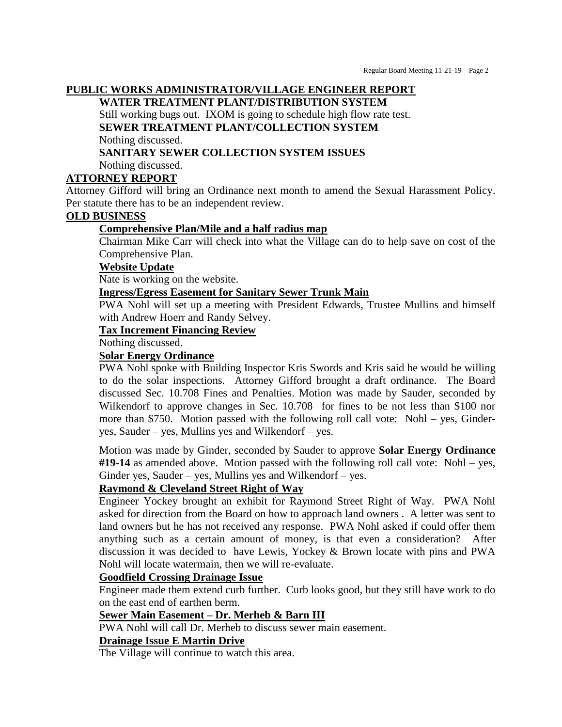# **PUBLIC WORKS ADMINISTRATOR/VILLAGE ENGINEER REPORT**

**WATER TREATMENT PLANT/DISTRIBUTION SYSTEM**

Still working bugs out. IXOM is going to schedule high flow rate test. **SEWER TREATMENT PLANT/COLLECTION SYSTEM**

Nothing discussed.

# **SANITARY SEWER COLLECTION SYSTEM ISSUES**

Nothing discussed.

# **ATTORNEY REPORT**

Attorney Gifford will bring an Ordinance next month to amend the Sexual Harassment Policy. Per statute there has to be an independent review.

# **OLD BUSINESS**

# **Comprehensive Plan/Mile and a half radius map**

Chairman Mike Carr will check into what the Village can do to help save on cost of the Comprehensive Plan.

## **Website Update**

Nate is working on the website.

# **Ingress/Egress Easement for Sanitary Sewer Trunk Main**

PWA Nohl will set up a meeting with President Edwards, Trustee Mullins and himself with Andrew Hoerr and Randy Selvey.

# **Tax Increment Financing Review**

Nothing discussed.

## **Solar Energy Ordinance**

PWA Nohl spoke with Building Inspector Kris Swords and Kris said he would be willing to do the solar inspections. Attorney Gifford brought a draft ordinance. The Board discussed Sec. 10.708 Fines and Penalties. Motion was made by Sauder, seconded by Wilkendorf to approve changes in Sec. 10.708 for fines to be not less than \$100 nor more than \$750. Motion passed with the following roll call vote: Nohl – yes, Ginderyes, Sauder – yes, Mullins yes and Wilkendorf – yes.

Motion was made by Ginder, seconded by Sauder to approve **Solar Energy Ordinance #19-14** as amended above. Motion passed with the following roll call vote: Nohl – yes, Ginder yes, Sauder – yes, Mullins yes and Wilkendorf – yes.

# **Raymond & Cleveland Street Right of Way**

Engineer Yockey brought an exhibit for Raymond Street Right of Way. PWA Nohl asked for direction from the Board on how to approach land owners . A letter was sent to land owners but he has not received any response. PWA Nohl asked if could offer them anything such as a certain amount of money, is that even a consideration? After discussion it was decided to have Lewis, Yockey & Brown locate with pins and PWA Nohl will locate watermain, then we will re-evaluate.

# **Goodfield Crossing Drainage Issue**

Engineer made them extend curb further. Curb looks good, but they still have work to do on the east end of earthen berm.

# **Sewer Main Easement – Dr. Merheb & Barn III**

PWA Nohl will call Dr. Merheb to discuss sewer main easement.

# **Drainage Issue E Martin Drive**

The Village will continue to watch this area.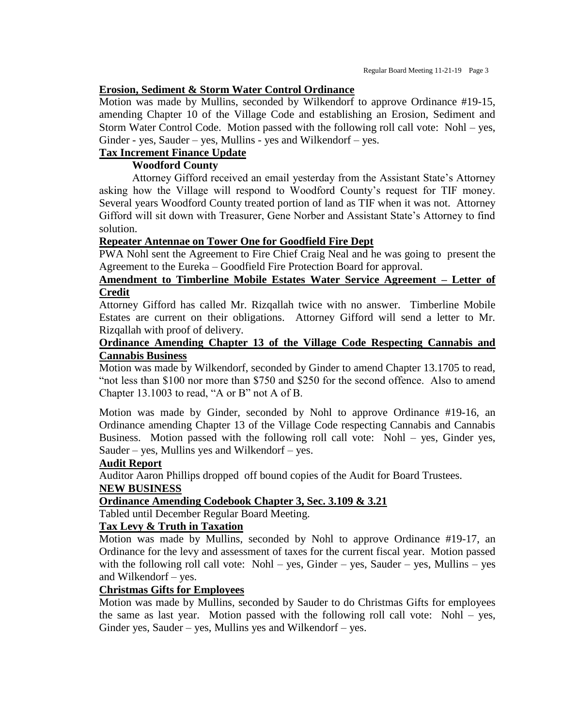#### **Erosion, Sediment & Storm Water Control Ordinance**

Motion was made by Mullins, seconded by Wilkendorf to approve Ordinance #19-15, amending Chapter 10 of the Village Code and establishing an Erosion, Sediment and Storm Water Control Code. Motion passed with the following roll call vote: Nohl – yes, Ginder - yes, Sauder – yes, Mullins - yes and Wilkendorf – yes.

# **Tax Increment Finance Update**

# **Woodford County**

Attorney Gifford received an email yesterday from the Assistant State's Attorney asking how the Village will respond to Woodford County's request for TIF money. Several years Woodford County treated portion of land as TIF when it was not. Attorney Gifford will sit down with Treasurer, Gene Norber and Assistant State's Attorney to find solution.

## **Repeater Antennae on Tower One for Goodfield Fire Dept**

PWA Nohl sent the Agreement to Fire Chief Craig Neal and he was going to present the Agreement to the Eureka – Goodfield Fire Protection Board for approval.

# **Amendment to Timberline Mobile Estates Water Service Agreement – Letter of Credit**

Attorney Gifford has called Mr. Rizqallah twice with no answer. Timberline Mobile Estates are current on their obligations. Attorney Gifford will send a letter to Mr. Rizqallah with proof of delivery.

## **Ordinance Amending Chapter 13 of the Village Code Respecting Cannabis and Cannabis Business**

Motion was made by Wilkendorf, seconded by Ginder to amend Chapter 13.1705 to read, "not less than \$100 nor more than \$750 and \$250 for the second offence. Also to amend Chapter 13.1003 to read, "A or B" not A of B.

Motion was made by Ginder, seconded by Nohl to approve Ordinance #19-16, an Ordinance amending Chapter 13 of the Village Code respecting Cannabis and Cannabis Business. Motion passed with the following roll call vote: Nohl – yes, Ginder yes, Sauder – yes, Mullins yes and Wilkendorf – yes.

#### **Audit Report**

Auditor Aaron Phillips dropped off bound copies of the Audit for Board Trustees. **NEW BUSINESS**

# **Ordinance Amending Codebook Chapter 3, Sec. 3.109 & 3.21**

Tabled until December Regular Board Meeting.

# **Tax Levy & Truth in Taxation**

Motion was made by Mullins, seconded by Nohl to approve Ordinance #19-17, an Ordinance for the levy and assessment of taxes for the current fiscal year. Motion passed with the following roll call vote: Nohl – yes, Ginder – yes, Sauder – yes, Mullins – yes and Wilkendorf – yes.

#### **Christmas Gifts for Employees**

Motion was made by Mullins, seconded by Sauder to do Christmas Gifts for employees the same as last year. Motion passed with the following roll call vote: Nohl – yes, Ginder yes, Sauder – yes, Mullins yes and Wilkendorf – yes.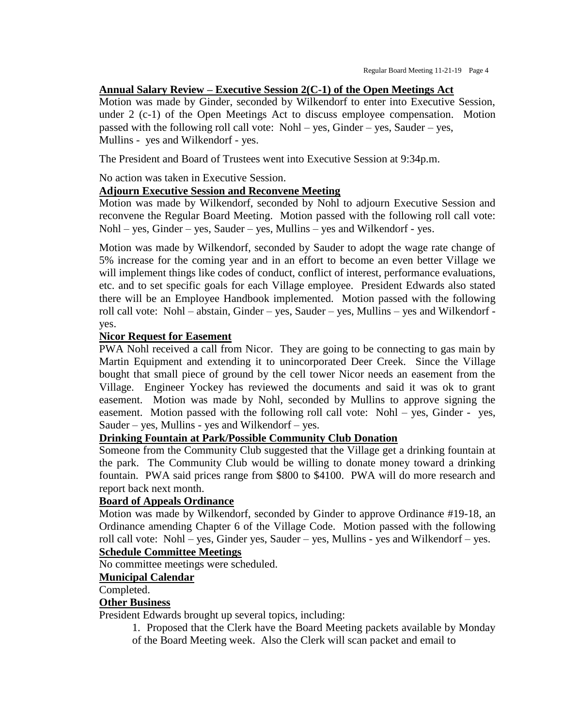#### **Annual Salary Review – Executive Session 2(C-1) of the Open Meetings Act**

Motion was made by Ginder, seconded by Wilkendorf to enter into Executive Session, under 2 (c-1) of the Open Meetings Act to discuss employee compensation. Motion passed with the following roll call vote: Nohl – yes, Ginder – yes, Sauder – yes, Mullins - yes and Wilkendorf - yes.

The President and Board of Trustees went into Executive Session at 9:34p.m.

No action was taken in Executive Session.

#### **Adjourn Executive Session and Reconvene Meeting**

Motion was made by Wilkendorf, seconded by Nohl to adjourn Executive Session and reconvene the Regular Board Meeting. Motion passed with the following roll call vote: Nohl – yes, Ginder – yes, Sauder – yes, Mullins – yes and Wilkendorf - yes.

Motion was made by Wilkendorf, seconded by Sauder to adopt the wage rate change of 5% increase for the coming year and in an effort to become an even better Village we will implement things like codes of conduct, conflict of interest, performance evaluations, etc. and to set specific goals for each Village employee. President Edwards also stated there will be an Employee Handbook implemented. Motion passed with the following roll call vote: Nohl – abstain, Ginder – yes, Sauder – yes, Mullins – yes and Wilkendorf yes.

#### **Nicor Request for Easement**

PWA Nohl received a call from Nicor. They are going to be connecting to gas main by Martin Equipment and extending it to unincorporated Deer Creek. Since the Village bought that small piece of ground by the cell tower Nicor needs an easement from the Village. Engineer Yockey has reviewed the documents and said it was ok to grant easement. Motion was made by Nohl, seconded by Mullins to approve signing the easement. Motion passed with the following roll call vote: Nohl – yes, Ginder - yes, Sauder – yes, Mullins - yes and Wilkendorf – yes.

## **Drinking Fountain at Park/Possible Community Club Donation**

Someone from the Community Club suggested that the Village get a drinking fountain at the park. The Community Club would be willing to donate money toward a drinking fountain. PWA said prices range from \$800 to \$4100. PWA will do more research and report back next month.

#### **Board of Appeals Ordinance**

Motion was made by Wilkendorf, seconded by Ginder to approve Ordinance #19-18, an Ordinance amending Chapter 6 of the Village Code. Motion passed with the following roll call vote: Nohl – yes, Ginder yes, Sauder – yes, Mullins - yes and Wilkendorf – yes.

# **Schedule Committee Meetings**

No committee meetings were scheduled.

#### **Municipal Calendar**

Completed.

## **Other Business**

President Edwards brought up several topics, including:

1. Proposed that the Clerk have the Board Meeting packets available by Monday of the Board Meeting week. Also the Clerk will scan packet and email to